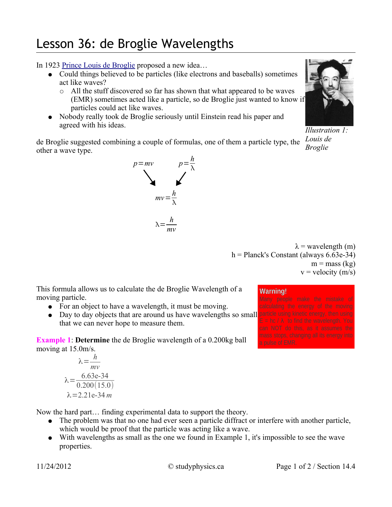## Lesson 36: de Broglie Wavelengths

In 1923 Prince Louis de Broglie proposed a new idea…

- Could things believed to be particles (like electrons and baseballs) sometimes act like waves?
	- All the stuff discovered so far has shown that what appeared to be waves (EMR) sometimes acted like a particle, so de Broglie just wanted to know if particles could act like waves.
- Nobody really took de Broglie seriously until Einstein read his paper and agreed with his ideas.

de Broglie suggested combining a couple of formulas, one of them a particle type, the other a wave type.



*Illustration 1: Louis de* 

*Broglie*

 $\lambda$  = wavelength (m)  $h =$  Planck's Constant (always 6.63e-34)  $m =$  mass (kg)  $v = velocity (m/s)$ 

This formula allows us to calculate the de Broglie Wavelength of a moving particle.

- For an object to have a wavelength, it must be moving.
- Day to day objects that are around us have wavelengths so small particle using kinetic energy, then using that we can never hope to measure them.

**Example 1: Determine** the de Broglie wavelength of a 0.200kg ball moving at 15.0m/s.

$$
\lambda = \frac{h}{mv}
$$

$$
\lambda = \frac{6.63e-34}{0.200(15.0)}
$$

$$
\lambda = 2.21e-34 m
$$

Now the hard part… finding experimental data to support the theory.

- The problem was that no one had ever seen a particle diffract or interfere with another particle, which would be proof that the particle was acting like a wave.
- With wavelengths as small as the one we found in Example 1, it's impossible to see the wave properties.

## **Warning!**